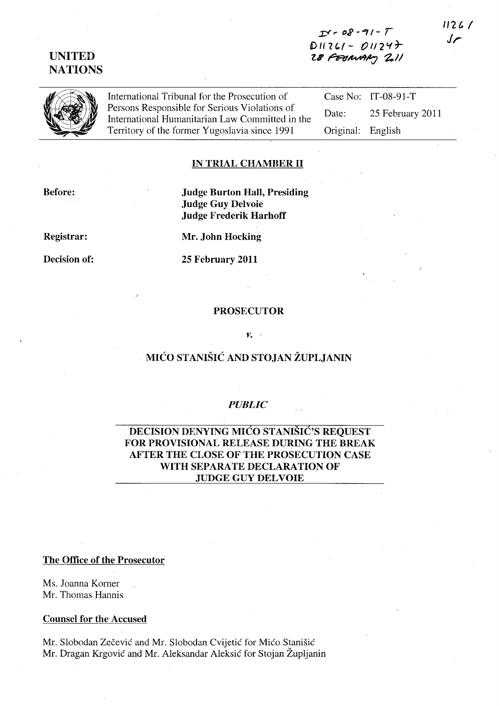# UNITED **NATIONS**

# $I' - 08 - 91 - 7$  $DII261 - DII24 +$ *II* ~M#f~ *2..11*

International Tribunal for the Prosecution of Persons Responsible for Serious Violations of International Humanitarian Law Committed in the Territory of the former Yugoslavia since 1991

Case No: IT-08-91-T Date: 25 February 2011 Original: English

### IN TRIAL CHAMBER 11

Before:

Judge Burton Hall, Presiding Judge Guy Delvoie Judge Frederik Harhoff

Registrar:

Decision of:

Mr. John Hocking

25 February 2011

#### PROSECUTOR

### *v.*

# MICO STANISIC AND STOJAN ZUPLJANIN

### *PUBLIC*

# DECISION DENYING MIĆO STANIŠIĆ'S REQUEST FOR PROVISIONAL RELEASE DURING THE BREAK AFTER THE CLOSE OF THE PROSECUTION CASE WITH SEPARATE DECLARATION OF JUDGE GUY DELVOIE

## The Office of the Prosecutor

Ms. Joanna Korner Mr. Thomas Hannis

#### Counsel for the Accused

Mr. Slobodan Zečević and Mr. Slobodan Cvijetić for Mićo Stanišić Mr. Dragan Krgovic and Mr. Aleksandar Aleksic for Stojan Zupljanin 1126/ *Jr*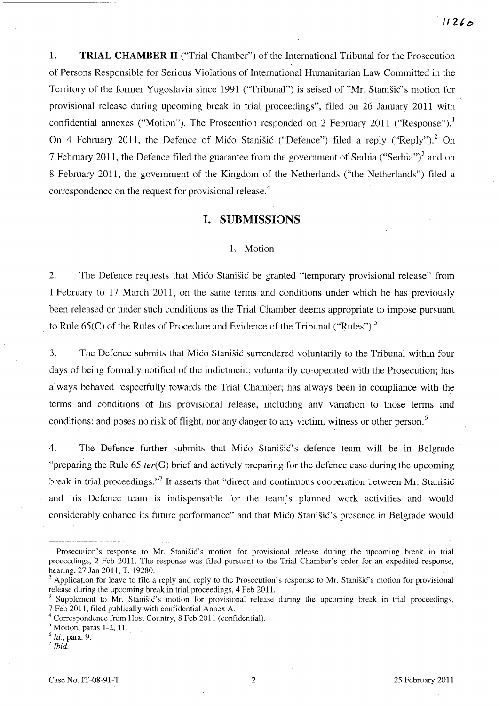**1. TRIAL CHAMBER 11** ("Trial Chamber") of the International Tribunal for the Prosecution of Persons Responsible for Serious Violations of International Humanitarian Law Committed in the Territory of the former Yugoslavia since 1991 ("Tribunal") is seised of "Mr. Stanišić's motion for provisional release during upcoming break in trial proceedings", filed on 26 January 2011 with confidential annexes ("Motion"). The Prosecution responded on 2 February 2011 ("Response").<sup>1</sup> On 4 February 2011, the Defence of Mico Stanisic ("Defence") filed a reply ("Reply")? On 7 February 2011, the Defence filed the guarantee from the government of Serbia ("Serbia")<sup>3</sup> and on 8 February 2011, the government of the Kingdom of the Netherlands ("the Netherlands") filed a correspondence on the request for provisional release.<sup>4</sup>

## **I. SUBMISSIONS**

### 1. Motion

2. The Defence requests that Mico Stanisic be granted "temporary provisional release" from 1 February to 17 March 2011, on the same terms and conditions under which he has previously been released or under such conditions as the Trial Chamber deems appropriate to impose pursuant to Rule  $65(C)$  of the Rules of Procedure and Evidence of the Tribunal ("Rules").<sup>5</sup>

3. The Defence submits that Mico Stanisic surrendered voluntarily to the Tribunal within four days of being formally notified of the indictment; voluntarily co-operated with the Prosecution; has always behaved respectfully towards the Trial Chamber; has always been in compliance with the terms and conditions of his provisional release, including any variation to those tenns and conditions; and poses no risk of flight, nor any danger to any victim, witness or other person.<sup>6</sup>

4. The Defence further submits that Mico Stanistic's defence team will be in Belgrade "preparing the Rule 65 *ter(G)* brief and actively preparing for the defence case during the upcoming break in trial proceedings."<sup>7</sup> It asserts that "direct and continuous cooperation between Mr. Stanišić and his Defence team is indispensable for the team's planned work activities and would considerably enhance its future performance" and that Mico Stanišic's presence in Belgrade would

 $<sup>5</sup>$  Motion, paras 1-2, 11.</sup>

<sup>&</sup>lt;sup>1</sup> Prosecution's response to Mr. Stanisic's motion for provisional release during the upcoming break in trial proceedings, 2 Feb 2011. The response was filed pursuant to the Trial Chamber's order for an expedited response, hearing, 27 Jan 2011, T. 19280.

Application for leave to file a reply and reply to the Prosecution's response to Mr. Stanistic's motion for provisional release during the upcoming break in trial proceedings, 4 Feb 2011.

Supplement to Mr. Stanišić's motion for provisional release during the upcoming break in trial proceedings, 7 Feb 2011, filed publically with confidential Annex A.

Correspondence from Host Country, 8 Feb 2011 (confidential).

*<sup>6</sup> Id.,* para. 9. <sup>7</sup>*Ibid.*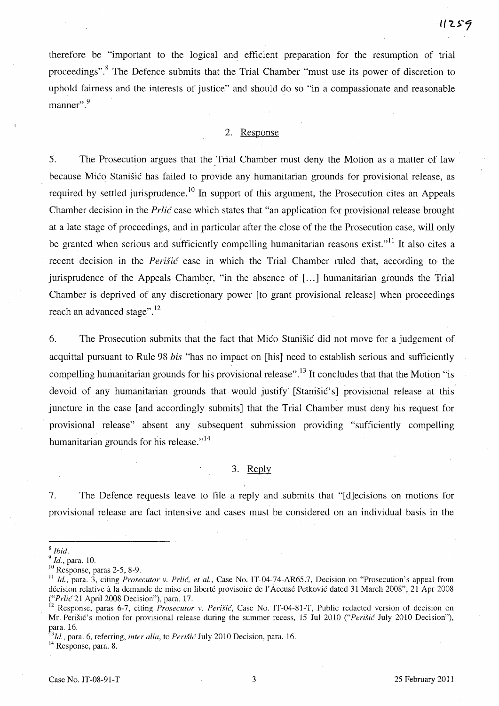therefore be "important to the logical and efficient preparation for the resumption of trial proceedings".<sup>8</sup> The Defence submits that the Trial Chamber "must use its power of discretion to uphold fairness and the interests of justice" and should do so "in a compassionate and reasonable manner".<sup>9</sup>

### 2. Response

5. The Prosecution argues that the Trial Chamber must deny the Motion as a matter of law because Mico Stanisic has failed to provide any humanitarian grounds for provisional release, as required by settled jurisprudence.<sup>10</sup> In support of this argument, the Prosecution cites an Appeals Chamber decision in the *Prlic* case which states that "an application for provisional release brought at a late stage of proceedings, and in particular after the close of the the Prosecution case, will only be granted when serious and sufficiently compelling humanitarian reasons exist."<sup>11</sup> It also cites a recent decision in the Perišić case in which the Trial Chamber ruled that, according to the jurisprudence of the Appeals Chamber, "in the absence of [...] humanitarian grounds the Trial Chamber is deprived of any discretionary power [to grant provisional release] when proceedings reach an advanced stage".<sup>12</sup>

6. The Prosecution submits that the fact that Mico Stanisic did not move for a judgement of acquittal pursuant to Rule 98 *his* "has no impact on [his] need to establish serious and sufficiently compelling humanitarian grounds for his provisional release".<sup>13</sup> It concludes that that the Motion "is devoid of any humanitarian grounds that would justify [Stanišić's] provisional release at this juncture in the case [and accordingly submits] that the Trial Chamber must deny his request for provisional release" absent any subsequent submission providing "sufficiently compelling humanitarian grounds for his release. $14$ 

### 3. Reply

7. The Defence requests leave to file a reply and submits that "[d]ecisions on motions for provisional release are fact intensive and cases must be considered on an individual basis in the

<sup>14</sup> Response, para. 8.

<sup>8</sup>*Ibid.* 

*<sup>9</sup> Id.,* para. 10.

 $\frac{10}{10}$  Response, paras 2-5, 8-9.

<sup>&</sup>lt;sup>11</sup> Id., para. 3, citing *Prosecutor v. Prlić, et al.*, Case No. IT-04-74-AR65.7, Decision on "Prosecution's appeal from décision relative à la demande de mise en liberté provisoire de l'Accusé Petkovic dated 31 March 2008", 21 Apr 2008 *("Prlit<* 21 April 2008 Decision"), para. 17.

<sup>12</sup> Response, paras 6-7, citing *Prosecutor v. Peri§ic,* Case No. IT-04-81-T, Public redacted version of decision on Mr. Perišić's motion for provisional release during the summer recess, 15 Jul 2010 *("Perišić* July 2010 Decision"), a

 $^{13}$  $^{13}$ ara. 16.<br>*Id.*, para. 6, referring, *inter alia,* to *Perišić* July 2010 Decision, para. 16.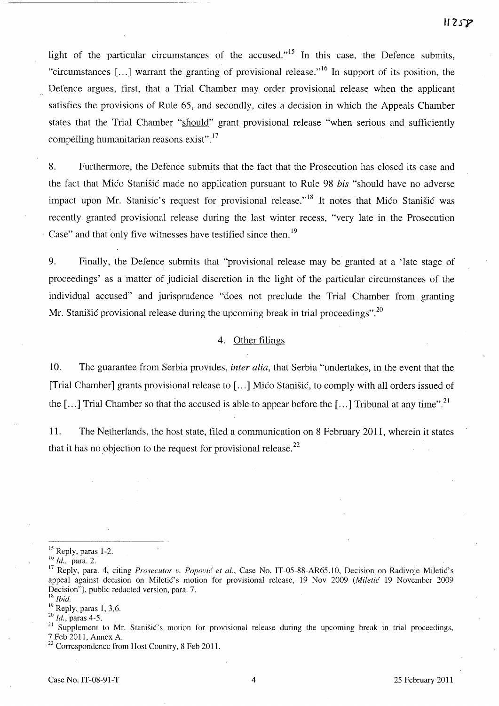light of the particular circumstances of the accused. $n^{15}$  In this case, the Defence submits, "circumstances [...] warrant the granting of provisional release."<sup>16</sup> In support of its position, the Defence argues, first, that a Trial Chamber may order provisional release when the applicant satisfies the provisions of Rule 65, and secondly, cites a decision in which the Appeals Chamber states that the Trial Chamber "should" grant provisional release "when serious and sufficiently compelling humanitarian reasons exist".<sup>17</sup>

8. Furthermore, the Defence submits that the fact that the Prosecution has closed its case and the fact that Mico Stanisic made no application pursuant to Rule 98 *his* "should have no adverse impact upon Mr. Stanisic's request for provisional release."<sup>18</sup> It notes that Mico Stanišic was recently granted provisional release during the last winter recess, "very late in the Prosecution Case" and that only five witnesses have testified since then.<sup>19</sup>

9. Finally, the Defence submits that "provisional release may be granted at a 'late stage of proceedings' as a matter of judicial discretion in the light of the particular circumstances of the individual accused" and jurisprudence "does not preclude the Trial Chamber from granting Mr. Stanisic provisional release during the upcoming break in trial proceedings".  $^{20}$ 

# 4. Other filings

10. The guarantee from Serbia provides, *inter alia,* that Serbia "undertakes, in the event that the [Trial Chamber] grants provisional release to [ ... ] Mico Stanisic, to comply with all orders issued of the [...] Trial Chamber so that the accused is able to appear before the [...] Tribunal at any time".<sup>21</sup>

11. The Netherlands, the host state, filed a communication on 8 February 2011, wherein it states that it has no objection to the request for provisional release.<sup>22</sup>

<sup>18</sup>*Ibid.* 

<sup>&</sup>lt;sup>15</sup> Reply, paras 1-2.

<sup>16</sup>*Id.,* para. 2.

<sup>&</sup>lt;sup>17</sup> Reply, para. 4, citing *Prosecutor v. Popović et al.*, Case No. IT-05-88-AR65.10, Decision on Radivoje Miletić's appeal against decision on Miletić's motion for provisional release, 19 Nov 2009 *(Miletić 19 November 2009* Decision"), public redacted version, para. 7.

<sup>&</sup>lt;sup>19</sup> Reply, paras 1, 3,6.

<sup>20</sup>*Id.,* paras 4-5.

<sup>&</sup>lt;sup>21</sup> Supplement to Mr. Stanišić's motion for provisional release during the upcoming break in trial proceedings, 7 Feb 2011, Annex A.

<sup>&</sup>lt;sup>22</sup> Correspondence from Host Country, 8 Feb 2011.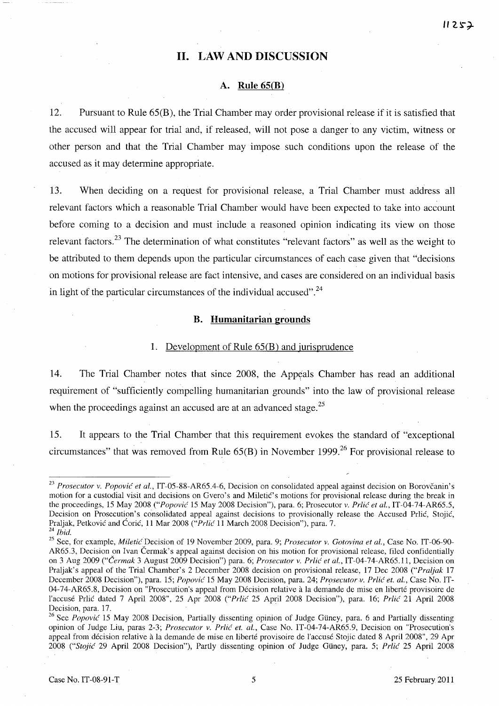# **11. LAW AND DISCUSSION**

## **A. Rule 6S(B)**

12. Pursuant to Rule 65(B), the Trial Chamber may order provisional release if it is satisfied that the accused will appear for trial and, if released, will not pose a danger to any victim, witness or other person and that the Trial Chamber may impose such conditions upon the release of the accused as it may determine appropriate.

13. When deciding on a request for provisional release, a Trial Chamber must address all relevant factors which a reasonable Trial Chamber would have been expected to take into account before coming to a decision and must include a reasoned opinion indicating its view on those relevant factors.<sup>23</sup> The determination of what constitutes "relevant factors" as well as the weight to be attributed to them depends upon the particular circumstances of each case given that "decisions on motions for provisional release are fact intensive, and cases are considered on an individual basis in light of the particular circumstances of the individual accused".<sup>24</sup>

### **B. Humanitarian grounds**

#### 1. Development of Rule  $65(B)$  and jurisprudence

14. The Trial Chamber notes that since 2008, the Appeals Chamber has read an additional requirement of "sufficiently compelling humanitarian grounds" into the law of provisional release when the proceedings against an accused are at an advanced stage.<sup>25</sup>

15. It appears to the Trial Chamber that this requirement evokes the standard of "exceptional circumstances" that was removed from Rule  $65(B)$  in November 1999.<sup>26</sup> For provisional release to

<sup>&</sup>lt;sup>23</sup> Prosecutor v. Popović et al., IT-05-88-AR65.4-6, Decision on consolidated appeal against decision on Borovčanin's motion for a custodial visit and decisions on Gvero's and Miletic's motions for provisional release during the break in the proceedings, 15 May 2008 *("Popović* 15 May 2008 Decision"), para. 6; Prosecutor v. *Prlić et al.*, IT-04-74-AR65.5, Decision on Prosecution's consolidated appeal against decisions to provisionally release the Accused Prlić, Stojić, Praljak, Petković and Ćorić, 11 Mar 2008 *("Prlić* 11 March 2008 Decision"), para. 7. *24 Ibid.* 

<sup>25</sup> See, for example, *Miletic.{* Decision of 19 November 2009, para. 9; *Prosecutor* v. *Gotovina et aI.,* Case No. IT-06-90- AR65.3, Decision on Ivan Cermak's appeal against decision on his motion for provisional release, filed confidentially on 3 Aug 2009 *("Cermak* 3 August 2009 Decision") para. 6; *Prosecutor* v. *Prlic et aI.,* IT-04-74-AR65.11, Decision on Pra1jak's appeal of the Trial Chamber's 2 December 200S decision on provisional release, 17 Dec 200S *("Praljak* 17 December 2008 Decision"), para. 15; *Popović* 15 May 2008 Decision, para. 24; *Prosecutor v. Prlić et. al.*, Case No. IT-04-74-AR65.8, Decision on "Prosecution's appeal from Décision relative à la demande de mise en liberté provisoire de l'accuse Prlic dated 7 April 200S", 25 Apr 200S *("Prlic* 25 April 200S Decision"), para. 16; *Prlic* 21 April 200S Decision, para. 17.

<sup>26</sup> See *Popovic* 15 May 200S Decision, Partially dissenting opinion of Judge Giiney, para. 6 and Partially dissenting opinion of Judge Liu, paras 2-3; *Prosecutor* v. *Prlic et. aI.,* Case No. IT-04-74-AR65.9, Decision on "Prosecution's appeal from décision relative à la demande de mise en liberté provisoire de l'accusé Stojic dated 8 April 2008", 29 Apr 200S *("Stojic* 29 April 200S Decision"), Partly dissenting opinion of Judge Gtiney, para. 5; *Prlic* 25 April 200S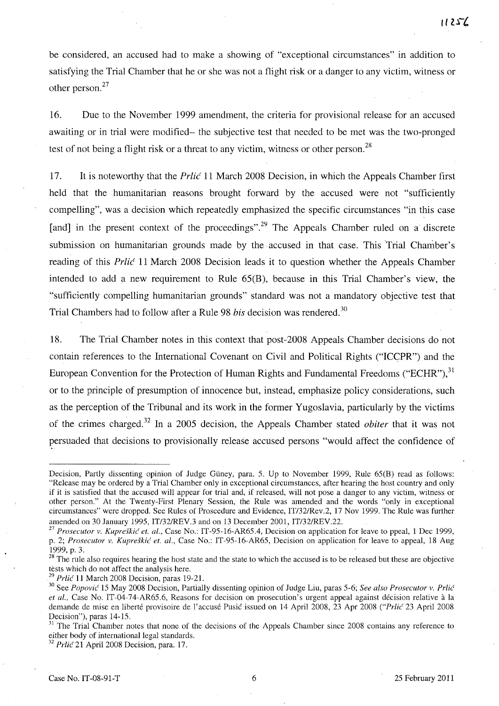be considered, an accused had to make a showing of "exceptional circumstances" in addition to satisfying the Trial Chamber that he or she was not a flight risk or a danger to any victim, witness or other person.<sup>27</sup>

16. Due to the November 1999 amendment, the criteria for provisional release for an accused awaiting or in trial were modified- the subjective test that needed to be met was the two-pronged test of not being a flight risk or a threat to any victim, witness or other person.<sup>28</sup>

17. It is noteworthy that the *Prlic* 11 March 2008 Decision, in which the Appeals Chamber first held that the humanitarian reasons brought forward by the accused were not "sufficiently" compelling", was a decision which repeatedly emphasized the specific circumstances "in this case [and] in the present context of the proceedings".<sup>29</sup> The Appeals Chamber ruled on a discrete submission on humanitarian grounds made by the accused in that case. This 'Trial Chamber's reading of this *Prlic* 11 March 2008 Decision leads it to question whether the Appeals Chamber intended to add a new requirement to Rule 65(B), because in this Trial Chamber's view, the "sufficiently compelling humanitarian grounds" standard was not a mandatory objective test that Trial Chambers had to follow after a Rule 98 *bis* decision was rendered.<sup>30</sup>

18. The Trial Chamber notes in this context that post-2008 Appeals Chamber decisions do not contain references to the International Covenant on Civil and Political Rights ("ICCPR") and the European Convention for the Protection of Human Rights and Fundamental Freedoms ("ECHR"),<sup>31</sup> or to the principle of presumption of innocence but, instead, emphasize policy considerations, such as the perception of the Tribunal and its work in the former Yugoslavia, particularly by the victims of the crimes charged.32 In a 2005 decision, the Appeals Chamber stated *obiter* that it was not persuaded that decisions to provisionally release accused persons "would affect the confidence of

<sup>32</sup>*Prlic* 21 April 2008 Decision, para. 17.

Decision, Partly dissenting opinion of Judge Giiney, para. 5. Up to November 1999, Rule 65(B) read as follows: "Release may be ordered by a Trial Chamber only in exceptional circumstances, after hearing the host country and only if it is satisfied that the accused will appear for trial and, if released, will not pose a danger to any victim, witness or other person." At the Twenty-First Plenary Session, the Rule was amended and the words "only in exceptional circumstances" were dropped. See Rules of Proscedure and Evidence, IT/32/Rev.2, 17 Nov 1999. The Rule was further amended on 30 January 1995, IT/32/REV.3 and on 13 December 2001, IT/32/REV.22.

<sup>27</sup>*Prosecutor v. Kupre§kic et. al.,* Case No.: IT-95-16-AR65.4, Decision on application for leave to ppeal, 1 Dec 1999, p. 2; *Prosecutor v. Kupreškić et. al.*, Case No.: IT-95-16-AR65, Decision on application for leave to appeal, 18 Aug 1999, p. 3.

<sup>&</sup>lt;sup>28</sup> The rule also requires hearing the host state and the state to which the accused is to be released but these are objective tests which do not affect the analysis here.

*<sup>29</sup> Prlic* 11 March 2008 Decision, paras 19-2l.

<sup>&</sup>lt;sup>30</sup> See *Popović* 15 May 2008 Decision, Partially dissenting opinion of Judge Liu, paras 5-6; See also Prosecutor v. Prlić *et aI.,* Case No. IT-04-74-AR65.6, Reasons for decision on prosecution's urgent appeal against decision relative a la demande de mise en liberte provisoire de l'accuse Pusic issued on 14 April 2008, 23 Apr 2008 *("Prlic* 23 April 2008 Decision"), paras 14-15.

<sup>&</sup>lt;sup>31</sup> The Trial Chamber notes that none of the decisions of the Appeals Chamber since 2008 contains any reference to either body of international legal standards.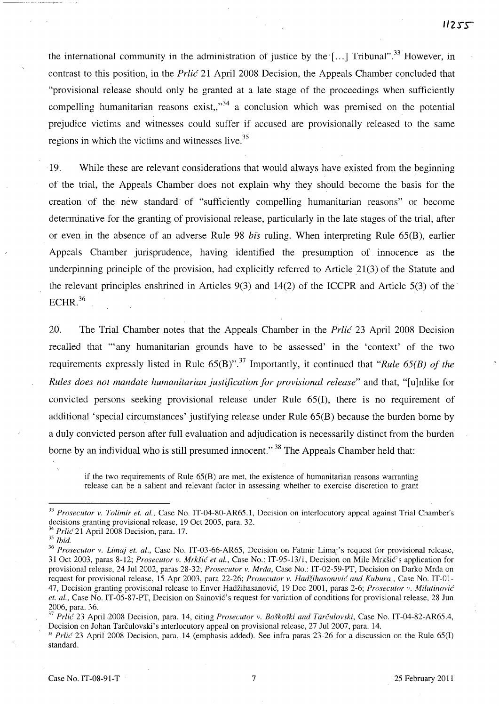the international community in the administration of justice by the [...] Tribunal".<sup>33</sup> However, in contrast to this position, in the *Prlic* 21 April 2008 Decision, the Appeals Chamber concluded that "provisional release should only be granted at a late stage of the proceedings when sufficiently compelling humanitarian reasons exist,, $34$  a conclusion which was premised on the potential prejudice victims and witnesses could suffer if accused are provisionally released to the same regions in which the victims and witnesses live. $35$ 

19. While these are relevant considerations that would always have existed from the beginning of the trial, the Appeals Chamber does not explain why they should become the basis for the creation of the new standard of "sufficiently compelling humanitarian reasons" or become determinative for the granting of provisional release, particularly in the late stages of the trial, after or even in the absence of an adverse Rule 98 *his* ruling. When interpreting Rule 65(B), earlier Appeals Chamber jurisprudence, having identified the presumption of innocence as the underpinning principle of the provision, had explicitly referred to Article 21(3) of the Statute and the relevant principles enshrined in Articles 9(3) and 14(2) of the ICCPR and Article 5(3) of the  $ECHR.<sup>36</sup>$ 

20. The Trial Chamber notes that the Appeals Chamber in the *Prlic* 23 April 2008 Decision recalled that "'any humanitarian grounds have to be assessed' in the 'context' of the two requirements expressly listed in Rule  $65(B)$ ".<sup>37</sup> Importantly, it continued that *"Rule 65(B) of the Rules does not mandate humanitarian justification for provisional release"* and that, "[u]nlike for convicted persons seeking provisional release under Rule 65(1), there is no requirement of additional 'special circumstances' justifying release under Rule 65(B) because the burden borne by a duly convicted person after full evaluation and adjudication is necessarily distinct from the burden borne by an individual who is still presumed innocent."<sup>38</sup> The Appeals Chamber held that:

if the two requirements of Rule 65(B) are met, the existence of humanitarian reasons warranting release can be a salient and relevant factor in assessing whether to exercise discretion to grant

- *34 Prlic* 21 April 2008 Decision, para. l7.
- *35 Ibid.*

<sup>37</sup>*Prlic(* 23 April.2008 Decision, para. 14, citing *Prosecutor v. Boskoski and* Tarc~ulovski, Case No. IT-04-82-AR65.4, Decision on Johan Tarculovski's interlocutory appeal on provisional release, 27 Jul 2007, para. 14.

*<sup>33</sup> Prosecutor v. Tolimir et. aI.,* Case No. IT-04-80-AR65.1, Decision on interlocutory appeal against Trial Chamber's decisions granting provisional release, 19 Oct 2005, para. 32.

*<sup>36</sup> Prosecutor v. Limaj et. al.,* Case No. IT-03-66-AR65, Decision on Fatmir Limaj's request for provisional release, 31 Oct 2003, paras 8-12; *Prosecutor v. Mrkšić et al.*, Case No.: IT-95-13/1, Decision on Mile Mrkšić's application for provisional release, 24 Ju12002, paras 28-32; *Prosecutor v. Mrda,* Case No.: IT-02-59-PT, Decision on Darko Mrda on request for provisional release, 15 Apr 2003, para 22-26; *Prosecutor v. HadZihasonivic and Kuhura,* Case No. IT-Ol-47, Decision granting provisional release to Enver Hadzihasanovic, 19 Dec 2001, paras 2-6; *Prosecutor v. Milutinovic et. al., Case No. IT-05-87-PT, Decision on Sainovic's request for variation of conditions for provisional release, 28 Jun* 2006, para. 36.

*<sup>38</sup> Prlic* 23 April 2008 Decision, para. 14 (emphasis added). See infra paras 23-26 for a discussion on the Rule 65(1) standard.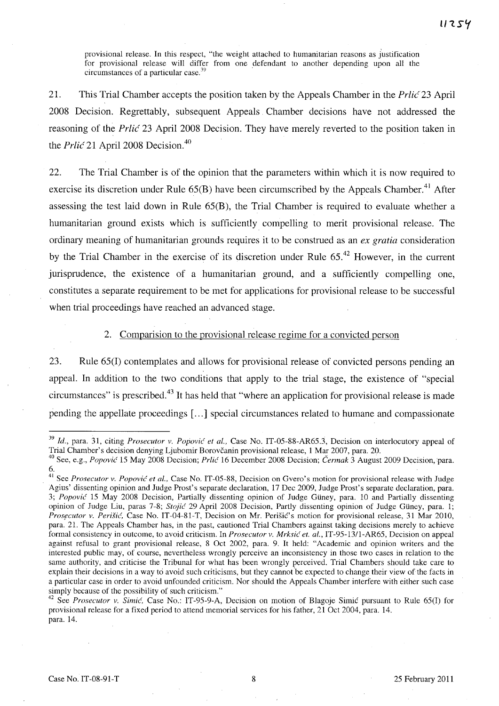provisional release. In this respect, "the weight attached to humanitarian reasons as justification for provisional release will differ from one defendant to another depending upon all the circumstances of a particular case. $3$ 

21. This Trial Chamber accepts the position taken by the Appeals Chamber in the *Prlic* 23 April 2008 Decision. Regrettably, subsequent Appeals Chamber decisions have not addressed the reasoning of the *Prlic* 23 April 2008 Decision. They have merely reverted to the position taken in the *Prlic* 21 April 2008 Decision.<sup>40</sup>

22. The Trial Chamber is of the opinion that the parameters within which it is now required to exercise its discretion under Rule  $65(B)$  have been circumscribed by the Appeals Chamber.<sup>41</sup> After assessing the test laid down in Rule 65(B), the Trial Chamber is required to evaluate whether a humanitarian ground exists which is sufficiently compelling to merit provisional release. The ordinary meaning of humanitarian grounds requires it to be construed as an *ex gratia* consideration by the Trial Chamber in the exercise of its discretion under Rule  $65<sup>42</sup>$  However, in the current jurisprudence, the existence of a humanitarian ground, and a sufficiently compelling one, constitutes a separate requirement to be met for applications for provisional release to be successful when trial proceedings have reached an advanced stage.

## 2. Comparision to the provisional release regime for a convicted person

23. Rule 65(1) contemplates and allows for provisional release of convicted persons pending an appeal. In addition to the two conditions that apply to the trial stage, the existence of "special circumstances" is prescribed.<sup>43</sup> It has held that "where an application for provisional release is made pending the appellate proceedings [ ... ] special circumstances related to humane and compassionate

*<sup>39</sup> Id.,* para. 31, citing *Prosecutor v. Popovic et al.,* Case No. IT-05-88-AR65.3, Decision on interlocutory appeal of Trial Chamber's decision denying Ljubomir Borovcanin provisional release, 1 Mar 2007, para. 20.

<sup>&</sup>lt;sup>40</sup> See, e.g., *Popović* 15 May 2008 Decision; *Prlić* 16 December 2008 Decision; *Čermak* 3 August 2009 Decision, para. 6.

<sup>&</sup>lt;sup>41</sup> See *Prosecutor v. Popović et al.*, Case No. IT-05-88, Decision on Gvero's motion for provisional release with Judge Agius' dissenting opinion and Judge Prost's separate declaration, 17 Dec 2009, Judge Prost's separate declaration, para. *3; Popovic* 15 May 2008 Decision, Partially dissenting opinion of Judge Gtiney, para. 10 and Partially dissenting opinion of Judge Liu, paras 7-8; *Stojić* 29 April 2008 Decision, Partly dissenting opinion of Judge Güney, para. 1; *Prosecutor v. Perišić,* Case No. IT-04-81-T, Decision on Mr. Perišić's motion for provisional release, 31 Mar 2010, para. 21. The Appeals Chamber has, in the past, cautioned Trial Chambers against taking decisions merely to achieve formal consistency in outcome, to avoid criticism. In *Prosecutor v. Mrksic et. aI.,* IT-95-13/l-AR65, Decision on appeal against refusal to grant provisional release, 8 Oct 2002, para. 9. It held: "Academic and opinion writers and the interested public may, of course, nevertheless wrongly perceive an inconsistency in those two cases in relation to the same authority, and criticise the Tribunal for what has been wrongly perceived. Trial Chambers should take care to explain their decisions in a way to avoid such criticisms, but they cannot be expected to change their view of the facts in a particular case in order to avoid unfounded criticism. Nor should the Appeals Chamber interfere with either such case simply because of the possibility of such criticism."

<sup>42</sup> See *Prosecutor v. Simic,* Case No.: IT-95-9-A, Decision on motion of Blagoje Simic pursuant to Rule 65(1) for provisional release for a fixed period to attend memorial services for his father, 21 Oct 2004, para. 14. para. 14.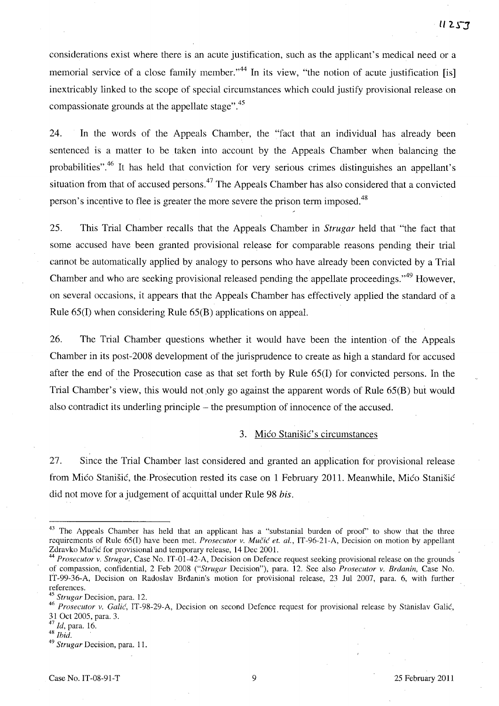considerations exist where there is an acute justification, such as the applicant's medical need or a memorial service of a close family member."<sup>44</sup> In its view, "the notion of acute justification [is] inextricably linked to the scope of special circumstances which could justify provisional release on compassionate grounds at the appellate stage".45

24. **In** the words of the Appeals Chamber, the "fact that an individual has already been sentenced is a matter to be taken into account by the Appeals Chamber when balancing the probabilities".<sup>46</sup> It has held that conviction for very serious crimes distinguishes an appellant's situation from that of accused persons.<sup>47</sup> The Appeals Chamber has also considered that a convicted person's incentive to flee is greater the more severe the prison term imposed.<sup>48</sup>

25. This Trial Chamber recalls that the Appeals Chamber in *Strugar* held that "the fact that some accused have been granted provisional release for comparable reasons pending their trial cannot be automatically applied by analogy to persons who have already been convicted by a Trial Chamber and who are seeking provisional released pending the appellate proceedings."<sup>49</sup> However, on several occasions, it appears that the Appeals Chamber has effectively applied the standard of a Rule 65(1) when considering Rule 65(B) applications on appeal.

26. The Trial Chamber questions whether it would have been the intention· of the Appeals Chamber in its post-2008 development of the jurisprudence to create as high a standard for accused after the end of the Prosecution case as that set forth by Rule 65(1) for convicted persons. **In** the Trial Chamber's view, this would not only go against the apparent words of Rule  $65(B)$  but would also contradict its underling principle - the presumption of innocence of the accused.

### 3. Mićo Stanišić's circumstances

27. Since the Trial Chamber last considered and granted an application for provisional release from Mico Stanisic, the Prosecution rested its case on 1 February 2011. Meanwhile, Mico Stanisic did not move for a judgement of acquittal under Rule 98 *his.* 

<sup>&</sup>lt;sup>43</sup> The Appeals Chamber has held that an applicant has a "substanial burden of proof" to show that the three requirements of Rule 65(1) have been met. *Prosecutor v. Mucic et. aI.,* IT-96-21-A, Decision on motion by appellant Zdravko Mučić for provisional and temporary release, 14 Dec 2001.

<sup>&</sup>lt;sup>44</sup> Prosecutor v. Strugar, Case No. IT-01-42-A, Decision on Defence request seeking provisional release on the grounds of compassion, confidential, 2 Feb 2008 *("Strugar* Decision"), para. 12. See also *Prosecutor v. Brdanin,* Case No. IT-99-36-A, Decision on Radoslav Brdanin's motion for provisional release, 23 Jul 2007, para. 6, with further references.

*<sup>45</sup> Strugar* Decision, para. 12.

*<sup>46</sup> Prosecutor v. Calic,* IT -98-29-A, Decision on second Defence request for provisional release by Stimislav Galic, 31 Oct 2005, para. 3.

<sup>47</sup>*Id,* para. 16.

*<sup>48</sup> Ibid.* 

*<sup>49</sup> Strugar* Decision, para. 11.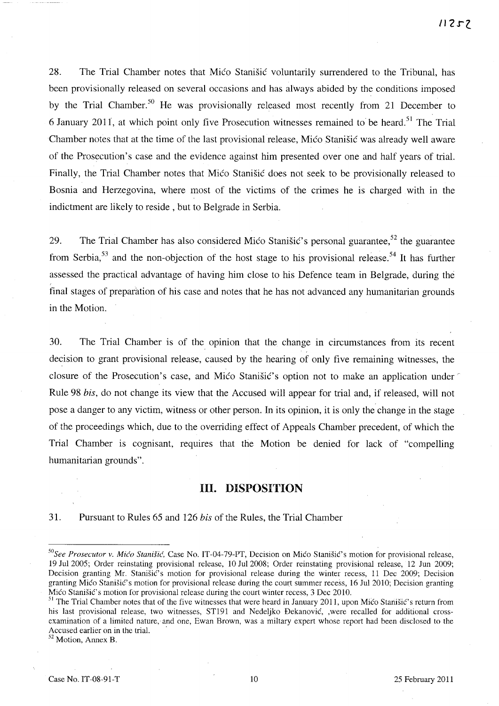28. The Trial Chamber notes that Mico Stanisic voluntarily surrendered to the Tribunal, has been provisionally released on several occasions and has always abided by the conditions imposed by the Trial Chamber.<sup>50</sup> He was provisionally released most recently from 21 December to 6 January 2011, at which point only five Prosecution witnesses remained to be heard.<sup>51</sup> The Trial Chamber notes that at the time of the last provisional release, Mico Stanisic was already well aware of the Prosecution's case and the evidence against him presented over one and half years of trial. Finally, the Trial Chamber notes that Mico Stanisic does not seek to be provisionally released to Bosnia and Herzegovina, where most of the victims of the crimes he is charged with in the indictment are likely to reside, but to Belgrade in Serbia.

29. The Trial Chamber has also considered Mico Stanišic's personal guarantee,<sup>52</sup> the guarantee from Serbia,<sup>53</sup> and the non-objection of the host stage to his provisional release.<sup>54</sup> It has further assessed the practical advantage of having him close to his Defence team in Belgrade, during the final stages of preparation of his case and notes that he has not advanced any humanitarian grounds in the Motion.

30. The Trial Chamber is of the opinion that the change in circumstances from its recent decision to grant provisional release, caused by the hearing of only five remaining witnesses, the closure of the Prosecution's case, and Mico Stanisic's option not to make an application under  $\sim$ Rule 98 *his,* do not change its view that the Accused will appear for trial and, if released, will not pose a danger to any victim, witness or other person. **In** its opinion, it is only the change in the stage of the proceedings which, due to the overriding effect of Appeals Chamber precedent, of which the Trial Chamber is cognisant, requires that the Motion be denied for lack of "compelling humanitarian grounds".

## **Ill. DISPOSITION**

31. Pursuant to Rules 65 and 126 *his* of the Rules, the Trial Chamber

<sup>52</sup> Motion, Annex B.

<sup>&</sup>lt;sup>50</sup>See Prosecutor v. Mićo Stanišić, Case No. IT-04-79-PT, Decision on Mićo Stanišić's motion for provisional release, 19 Jul 2005; Order reinstating provisional release, 10 Jul 2008; Order reinstating provisional release, 12 Jun 2009; Decision granting Mr. Stanišić's motion for provisional release during the winter recess, 11 Dec 2009; Decision granting Mićo Stanišić's motion for provisional release during the court summer recess, 16 Jul 2010; Decision granting Mico Stanišic's motion for provisional release during the court winter recess, 3 Dec 2010.

<sup>&</sup>lt;sup>51</sup> The Trial Chamber notes that of the five witnesses that were heard in January 2011, upon Mico Stanišic's return from his last provisional release, two witnesses, ST191 and Nedeljko Đekanović, ,were recalled for additional crossexamination of a limited nature, and one, Ewan Brown, was a miltary expert whose report had been disclosed to the Accused earlier on in the trial. .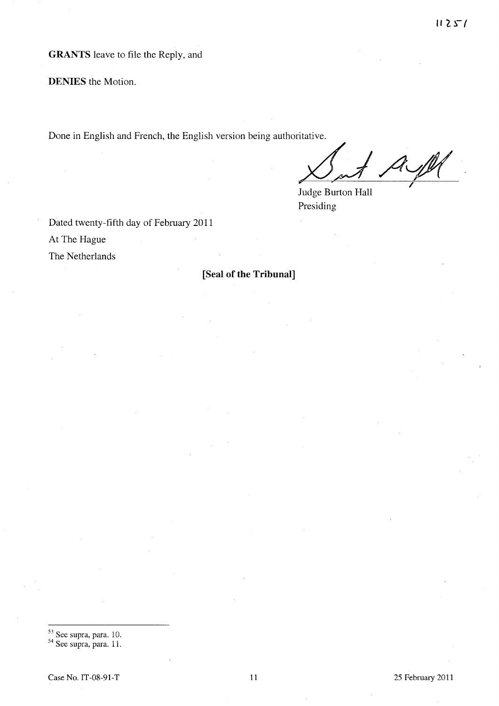**GRANTS** leave to file the Reply, and

**DENIES** the Motion.

Done in English and French, the English version being authoritative.

*xfJ/1v/1(*   $\overline{\phantom{a}}$ 

Judge Burton Hall Presiding

Dated twenty-fifth day of February 2011 At The Hague The Netherlands

**[Seal of the Tribunal]** 

<sup>&</sup>lt;sup>53</sup> See supra, para. 10.

<sup>&</sup>lt;sup>54</sup> See supra, para. 11.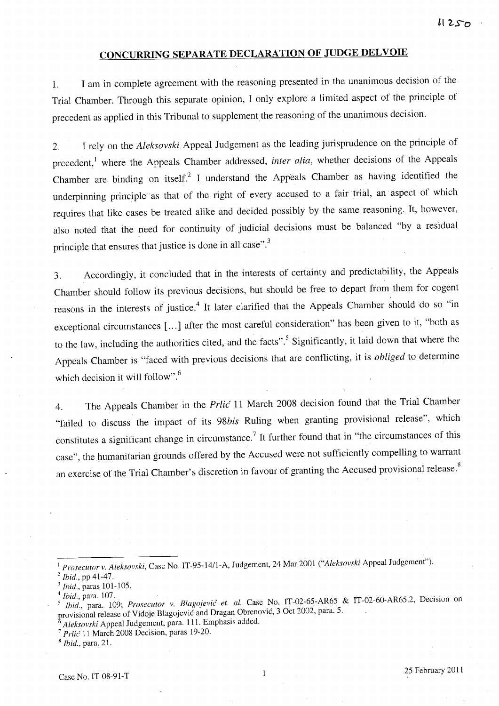# **CONCURRING SEPARATE DECLARATION OF JUDGE DELVOIE**

1. I am in complete agreement with the reasoning presented in the unanimous decision of the Trial Chamber. Through this separate opinion, I only explore a limited aspect of the principle of precedent as applied in this Tribunal to supplement the reasoning of the unanimous decision.

2. I rely on the *Aleksovski* Appeal Judgement as the leading jurisprudence on the principle of precedent,<sup>1</sup> where the Appeals Chamber addressed, *inter alia*, whether decisions of the Appeals Chamber are binding on itself? I understand the Appeals Chamber as having identified the underpinning principle as that of the right of every accused to a fair trial, an aspect of which requires that like cases be treated alike and decided possibly by the same reasoning. It, however, also noted that the need for continuity of judicial decisions must be balanced "by a residual principle that ensures that justice is done in all case".<sup>3</sup>

3. Accordingly, it concluded that in the interests of certainty and predictability, the Appeals Chamber should follow its previous decisions, but should be free to depart from them for cogent reasons in the interests of justice.<sup>4</sup> It later clarified that the Appeals Chamber should do so "in exceptional circumstances [ ... ] after the most careful consideration" has been given to it, "both as to the law, including the authorities cited, and the facts".<sup>5</sup> Significantly, it laid down that where the Appeals Chamber is "faced with previous decisions that are conflicting, it is *obliged* to determine which decision it will follow".<sup>6</sup>

4. The Appeals Chamber in the *Prlic* 11 March 2008 decision found that the Trial Chamber "failed to discuss the impact of its *98bis* Ruling when granting provisional release", which constitutes a significant change in circumstance. <sup>7</sup>**It** further found that in "the circumstances of this case", the humanitarian grounds offered by the Accused were not sufficiently compelling to warrant an exercise of the Trial Chamber's discretion in favour of granting the Accused provisional release.<sup>8</sup>

- Aleksovski Appeal Judgement, para. 111. Emphasis added.
- <sup>7</sup>*Prlic:* 11 March 2008 Decision, paras 19-20.

<sup>H</sup>*Ibid.,* para. 21.

<sup>I</sup>*Prosecutor* v. *Aleksovski,* Case No. **IT** -95-1411-A, Judgement, 24 Mar 2001 *("Aleksovski* Appeal Judgement").

*<sup>2</sup> Ibid.,* pp 41-47.

<sup>3</sup>*Ibid.,* paras 101-105.

<sup>4</sup>*Ibid.,* para. 107.

*S Ibid.,* para. 109; *Prosecutor* v. *Blagojevic et. ai,* Case No. IT-02-65-AR65 & IT-02-60-AR65.2, Decision on provisional release of Vidoje Blagojević and Dragan Obrenović, 3 Oct 2002, para. 5.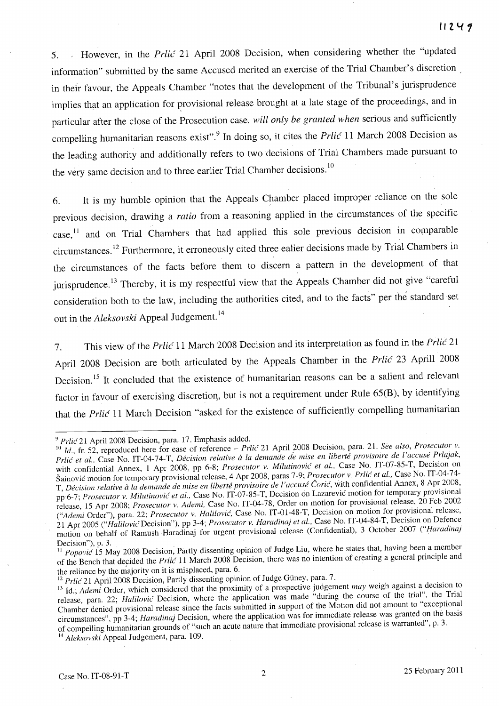5. However, in the Prlic 21 April 2008 Decision, when considering whether the "updated information" submitted by the same Accused merited an exercise of the Trial Chamber's discretion, in their favour, the Appeals Chamber "notes that the development of the Tribunal's jurisprudence implies that an application for provisional release brought at a late stage of the proceedings, and in particular after the close of the Prosecution case, *will only be granted when* serious and sufficiently compelling humanitarian reasons exist".<sup>9</sup> In doing so, it cites the Prlic 11 March 2008 Decision as the leading authority and additionally refers to two decisions of Trial Chambers made pursuant to the very same decision and to three earlier Trial Chamber decisions.<sup>10</sup>

6. It is my humble opinion that the Appeals Chamber placed improper reliance on the sole previous decision, drawing a *ratio* from a reasoning applied in the circumstances of the specific case,<sup>11</sup> and on Trial Chambers that had applied this sole previous decision in comparable circumstances. 12 Furthermore, it erroneously cited three ealier decisions made by Trial Chambers in the circumstances of the facts before them to discern a pattern in the development of that jurisprudence.<sup>13</sup> Thereby, it is my respectful view that the Appeals Chamber did not give "careful consideration both to the law, including the authorities cited, and to the facts" per the standard set out in the *Aleksovski* Appeal Judgement.<sup>14</sup>

7. This view of the Prlic 11 March 2008 Decision and its interpretation as found in the Prlic 21 April 2008 Decision are both articulated by the Appeals Chamber in the Prlic 23 Aprill 2008 Decision.<sup>15</sup> It concluded that the existence of humanitarian reasons can be a salient and relevant factor in favour of exercising discretioq, but is not a requirement under Rule 65(B), by identifying that the Prlic 11 March Decision "asked for the existence of sufficiently compelling humanitarian

*<sup>9</sup> Prlic* 21 April 200S Decision, para. 17. Emphasis added.

<sup>10</sup> Id., fn 52, reproduced here for ease of reference - *Prlic* 21 April 2008 Decision, para. 21. *See also, Prosecutor v. Prlic et al.,* Case No. IT-04-74-T, *Decision relative a la demande de mise en liherte provisoire de l'accuse Prlajak,*  with confidential Annex, 1 Apr 2008, pp 6-8; *Prosecutor v. Milutinović et al.*, Case No. IT-07-85-T, Decision on Sainovic motion for temporary provisional release, 4 Apr 200S, paras 7-9; *Prosecutor v. Prlic et aI.,* Case No. IT-04-74- T, *Décision relative à la demande de mise en liberté provisoire de l'accusé Coric*, with confidential Annex, 8 Apr 2008, pp 6-7; *Prosecutor v. Milutinovic et al.,* Case No. IT-07-S5-T, Decision on Lazarevic motion for temporary provisional release, 15 Apr 200S; *Prosecutor v. Ademi.* Case No. IT-04-78, Order on motion for provisional release, 20 Feb 2002 ("Ademi Order"), para. 22; *Prosecutor v. Halilović*, Case No. IT-01-48-T, Decision on motion for provisional release, 21 Apr 2005 *("Halilovic<Decision"),* pp 3-4; *Prosecutor v. Haradinaj et al..* Case No. IT-04-S4-T, Decision on Defence motion on behalf of Ramush Haradinaj for urgent provisional release (Confidential), 3 October 2007 *("Haradinaj* Decision"), p. 3.

<sup>&</sup>lt;sup>11</sup> Popovic 15 May 2008 Decision, Partly dissenting opinion of Judge Liu, where he states that, having been a member of the Bench that decided the *Prlic* 11 March 200S Decision, there was no intention of creating a general principle and the reliance by the majority on it is misplaced, para. 6.

<sup>&</sup>lt;sup>12</sup> Prlic 21 April 2008 Decision, Partly dissenting opinion of Judge Güney, para. 7.

<sup>13</sup> Id.; *Ademi* Order, which considered that the proximity of a prospective judgement *may* weigh against a decision to release, para. 22; *Halilovic* Decision, where the application was made "during the course of the trial", the Trial Chamber denied provisional release since the facts submitted in support of the Motion did not amount to "exceptional circumstances", pp 3-4; *Haradinqi* Decision, where the application was for immediate release was granted on the basis of compelling humanitarian grounds of "such an acute nature that immediate provisional release is warranted", p. 3. <sup>14</sup>*Aleksovski* Appeal Judgement, para. 109.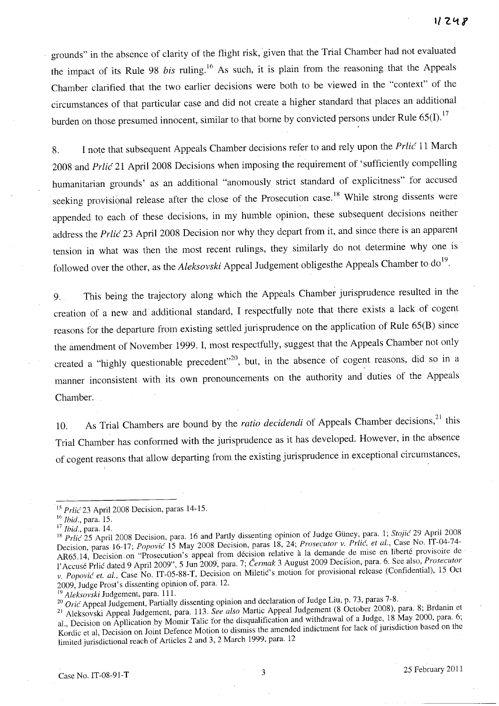grounds" in the absence of clarity of the flight risk, given that the Trial Chamber had not evaluated the impact of its Rule 98 *bis* ruling.<sup>16</sup> As such, it is plain from the reasoning that the Appeals Chamber clarified that the two earlier decisions were both to be viewed in the "context" of the circumstances of that particular case and did not create a higher standard that places an additional burden on those presumed innocent, similar to that borne by convicted persons under Rule  $65(I)$ .<sup>17</sup>

8. I note that subsequent Appeals Chamber decisions refer to and rely upon the *Prlic*<sup>11</sup> March 2008 and Prlic 21 April 2008 Decisions when imposing the requirement of 'sufficiently compelling humanitarian grounds' as an additional "anomously strict standard of explicitness" for accused seeking provisional release after the close of the Prosecution case.<sup>18</sup> While strong dissents were appended to each of these decisions, in my humble opinion, these subsequent decisions neither address the Prlic 23 April 2008 Decision nor why they depart from it, and since there is an apparent tension in what was then the most recent rulings, they similarly do not determine why one is followed over the other, as the *Aleksovski* Appeal Judgement obligesthe Appeals Chamber to do<sup>19</sup>.

9. This being the trajectory along which the Appeals Chamber jurisprudence resulted in the creation of a new and additional standard, 1 respectfully note that there exists a lack of cogent reasons for the departure from existing settled jurisprudence on the application of Rule 65(B) since the amendment of November 1999. I, most respectfully, suggest that the Appeals Chamber not only created a "highly questionable precedent"<sup>20</sup>, but, in the absence of cogent reasons, did so in a manner inconsistent with its own pronouncements on the authority and duties of the Appeals Chamber.

10. As Trial Chambers are bound by the *ratio decidendi* of Appeals Chamber decisions,<sup>21</sup> this Trial Chamber has conformed with the jurisprudence as it has developed. However, in the absence of cogent reasons that allow departing from the existing jurisprudence in exceptional circumstances,

<sup>15</sup>*Prlic23* April 2008 Decision, paras 14-15.

<sup>16</sup>*Ibid.,* para. 15.

<sup>17</sup>*Ibid.,* para. 14.

<sup>18</sup> Prlic 25 April 2008 Decision, para. 16 and Partly dissenting opinion of Judge Güney, para. 1; *Stojić* 29 April 2008 Decision, paras 16-17; *Popovic* 15 May 2008 Decision, paras 18, 24; *Prosecutor v. Prlic, et al.*, Case No. IT-04-74-AR65.14, Decision·on "Prosecution's appeal from decision relative a la demande de mise en liberte provisoire de l'Accuse Prli6 dated 9 April 2009", 5 Jun 2009, para. 7; *Cermak* 3 August 2009 Decision, para. 6. See also, *Prosecutor v. Popović et. al., Case No. IT-05-88-T, Decision on Miletic's motion for provisional release (Confidential), 15 Oct* 2009, Judge Prost's dissenting opinion of, para. 12.

<sup>19</sup>*Aleksovski* Judgement, para. 111.

<sup>20&</sup>lt;sup>*Oric*</sup> Appeal Judgement, Partially dissenting opinion and declaration of Judge Liu, p. 73, paras 7-8.

<sup>21</sup>Aleksovski Appeal Judgement, para. 113. *See also* Martic Appeal Judgement (S October 200S), para. S; Brdanin et al., Decision on Apllication by Momir Talic for the disqualification and withdrawal of a Judge, 18 May 2000, para. 6; Kordic et aI, Decision on Joint Defence Motion to dismiss the amended indictment for lack of jurisdiction based on the limited jurisdictional reach of Articles 2 and 3, 2 March 1999, para. 12